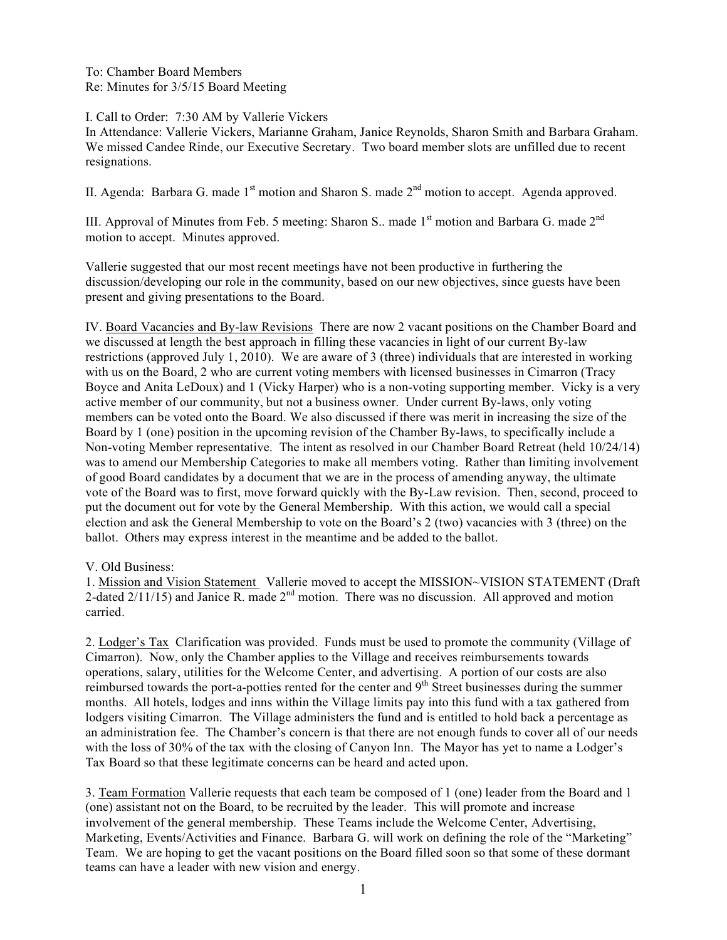To: Chamber Board Members Re: Minutes for 3/5/15 Board Meeting

I. Call to Order: 7:30 AM by Vallerie Vickers

In Attendance: Vallerie Vickers, Marianne Graham, Janice Reynolds, Sharon Smith and Barbara Graham. We missed Candee Rinde, our Executive Secretary. Two board member slots are unfilled due to recent resignations.

II. Agenda: Barbara G. made  $1<sup>st</sup>$  motion and Sharon S. made  $2<sup>nd</sup>$  motion to accept. Agenda approved.

III. Approval of Minutes from Feb. 5 meeting: Sharon S.. made  $1<sup>st</sup>$  motion and Barbara G. made  $2<sup>nd</sup>$ motion to accept. Minutes approved.

Vallerie suggested that our most recent meetings have not been productive in furthering the discussion/developing our role in the community, based on our new objectives, since guests have been present and giving presentations to the Board.

IV. Board Vacancies and By-law Revisions There are now 2 vacant positions on the Chamber Board and we discussed at length the best approach in filling these vacancies in light of our current By-law restrictions (approved July 1, 2010). We are aware of 3 (three) individuals that are interested in working with us on the Board, 2 who are current voting members with licensed businesses in Cimarron (Tracy Boyce and Anita LeDoux) and 1 (Vicky Harper) who is a non-voting supporting member. Vicky is a very active member of our community, but not a business owner. Under current By-laws, only voting members can be voted onto the Board. We also discussed if there was merit in increasing the size of the Board by 1 (one) position in the upcoming revision of the Chamber By-laws, to specifically include a Non-voting Member representative. The intent as resolved in our Chamber Board Retreat (held 10/24/14) was to amend our Membership Categories to make all members voting. Rather than limiting involvement of good Board candidates by a document that we are in the process of amending anyway, the ultimate vote of the Board was to first, move forward quickly with the By-Law revision. Then, second, proceed to put the document out for vote by the General Membership. With this action, we would call a special election and ask the General Membership to vote on the Board's 2 (two) vacancies with 3 (three) on the ballot. Others may express interest in the meantime and be added to the ballot.

V. Old Business:

1. Mission and Vision Statement Vallerie moved to accept the MISSION~VISION STATEMENT (Draft 2-dated  $2/11/15$ ) and Janice R. made  $2<sup>nd</sup>$  motion. There was no discussion. All approved and motion carried.

2. Lodger's Tax Clarification was provided. Funds must be used to promote the community (Village of Cimarron). Now, only the Chamber applies to the Village and receives reimbursements towards operations, salary, utilities for the Welcome Center, and advertising. A portion of our costs are also reimbursed towards the port-a-potties rented for the center and 9<sup>th</sup> Street businesses during the summer months. All hotels, lodges and inns within the Village limits pay into this fund with a tax gathered from lodgers visiting Cimarron. The Village administers the fund and is entitled to hold back a percentage as an administration fee. The Chamber's concern is that there are not enough funds to cover all of our needs with the loss of 30% of the tax with the closing of Canyon Inn. The Mayor has yet to name a Lodger's Tax Board so that these legitimate concerns can be heard and acted upon.

3. Team Formation Vallerie requests that each team be composed of 1 (one) leader from the Board and 1 (one) assistant not on the Board, to be recruited by the leader. This will promote and increase involvement of the general membership. These Teams include the Welcome Center, Advertising, Marketing, Events/Activities and Finance. Barbara G. will work on defining the role of the "Marketing" Team. We are hoping to get the vacant positions on the Board filled soon so that some of these dormant teams can have a leader with new vision and energy.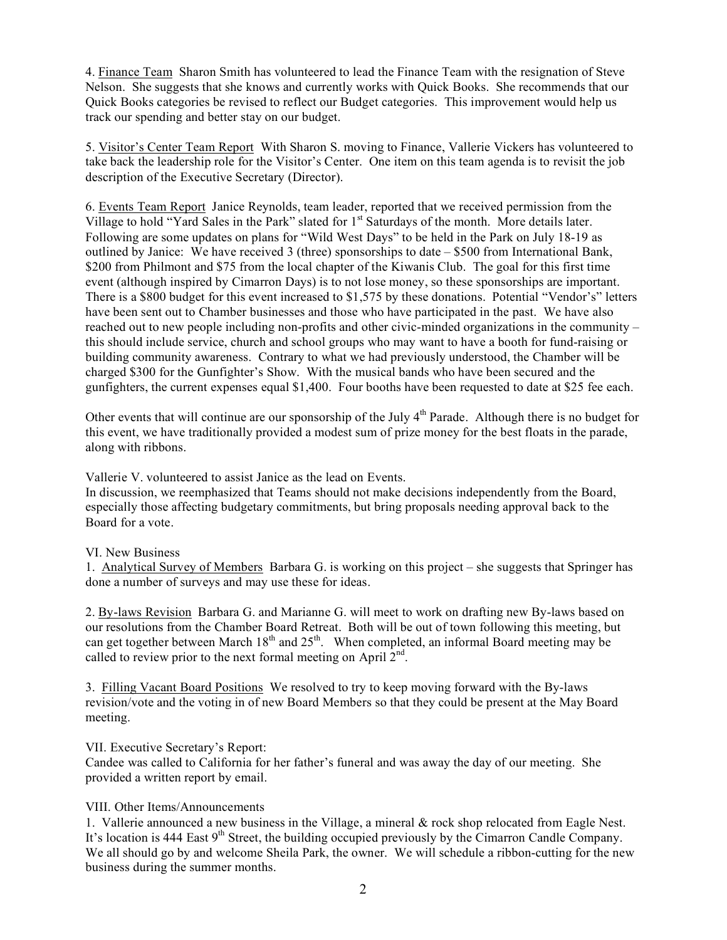4. Finance Team Sharon Smith has volunteered to lead the Finance Team with the resignation of Steve Nelson. She suggests that she knows and currently works with Quick Books. She recommends that our Quick Books categories be revised to reflect our Budget categories. This improvement would help us track our spending and better stay on our budget.

5. Visitor's Center Team Report With Sharon S. moving to Finance, Vallerie Vickers has volunteered to take back the leadership role for the Visitor's Center. One item on this team agenda is to revisit the job description of the Executive Secretary (Director).

6. Events Team Report Janice Reynolds, team leader, reported that we received permission from the Village to hold "Yard Sales in the Park" slated for 1<sup>st</sup> Saturdays of the month. More details later. Following are some updates on plans for "Wild West Days" to be held in the Park on July 18-19 as outlined by Janice: We have received 3 (three) sponsorships to date  $-$  \$500 from International Bank, \$200 from Philmont and \$75 from the local chapter of the Kiwanis Club. The goal for this first time event (although inspired by Cimarron Days) is to not lose money, so these sponsorships are important. There is a \$800 budget for this event increased to \$1,575 by these donations. Potential "Vendor's" letters have been sent out to Chamber businesses and those who have participated in the past. We have also reached out to new people including non-profits and other civic-minded organizations in the community – this should include service, church and school groups who may want to have a booth for fund-raising or building community awareness. Contrary to what we had previously understood, the Chamber will be charged \$300 for the Gunfighter's Show. With the musical bands who have been secured and the gunfighters, the current expenses equal \$1,400. Four booths have been requested to date at \$25 fee each.

Other events that will continue are our sponsorship of the July 4<sup>th</sup> Parade. Although there is no budget for this event, we have traditionally provided a modest sum of prize money for the best floats in the parade, along with ribbons.

Vallerie V. volunteered to assist Janice as the lead on Events.

In discussion, we reemphasized that Teams should not make decisions independently from the Board, especially those affecting budgetary commitments, but bring proposals needing approval back to the Board for a vote.

## VI. New Business

1. Analytical Survey of Members Barbara G. is working on this project – she suggests that Springer has done a number of surveys and may use these for ideas.

2. By-laws Revision Barbara G. and Marianne G. will meet to work on drafting new By-laws based on our resolutions from the Chamber Board Retreat. Both will be out of town following this meeting, but can get together between March  $18<sup>th</sup>$  and  $25<sup>th</sup>$ . When completed, an informal Board meeting may be called to review prior to the next formal meeting on April  $2<sup>nd</sup>$ .

3. Filling Vacant Board Positions We resolved to try to keep moving forward with the By-laws revision/vote and the voting in of new Board Members so that they could be present at the May Board meeting.

## VII. Executive Secretary's Report:

Candee was called to California for her father's funeral and was away the day of our meeting. She provided a written report by email.

## VIII. Other Items/Announcements

1. Vallerie announced a new business in the Village, a mineral & rock shop relocated from Eagle Nest. It's location is 444 East 9<sup>th</sup> Street, the building occupied previously by the Cimarron Candle Company. We all should go by and welcome Sheila Park, the owner. We will schedule a ribbon-cutting for the new business during the summer months.